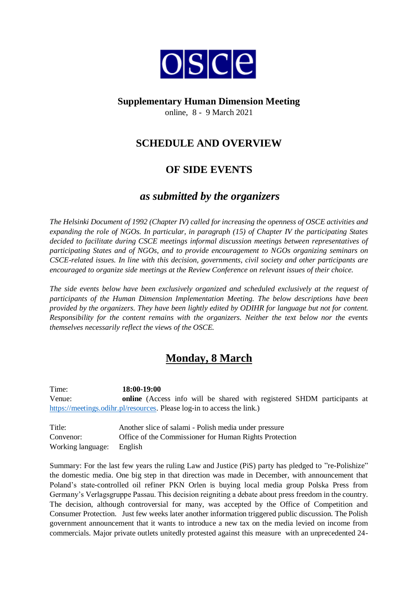

### **Supplementary Human Dimension Meeting**

online, 8 - 9 March 2021

## **SCHEDULE AND OVERVIEW**

# **OF SIDE EVENTS**

### *as submitted by the organizers*

*The Helsinki Document of 1992 (Chapter IV) called for increasing the openness of OSCE activities and expanding the role of NGOs. In particular, in paragraph (15) of Chapter IV the participating States decided to facilitate during CSCE meetings informal discussion meetings between representatives of participating States and of NGOs, and to provide encouragement to NGOs organizing seminars on CSCE-related issues. In line with this decision, governments, civil society and other participants are encouraged to organize side meetings at the Review Conference on relevant issues of their choice.*

*The side events below have been exclusively organized and scheduled exclusively at the request of participants of the Human Dimension Implementation Meeting. The below descriptions have been provided by the organizers. They have been lightly edited by ODIHR for language but not for content. Responsibility for the content remains with the organizers. Neither the text below nor the events themselves necessarily reflect the views of the OSCE.*

# **Monday, 8 March**

Time: **18:00-19:00** Venue: **online** (Access info will be shared with registered SHDM participants at [https://meetings.odihr.pl/resources.](https://meetings.odihr.pl/resources) Please log-in to access the link.)

| Title:                    | Another slice of salami - Polish media under pressure  |
|---------------------------|--------------------------------------------------------|
| Convenor:                 | Office of the Commissioner for Human Rights Protection |
| Working language: English |                                                        |

Summary: For the last few years the ruling Law and Justice (PiS) party has pledged to "re-Polishize" the domestic media. One big step in that direction was made in December, with announcement that Poland's state-controlled oil refiner PKN Orlen is buying local media group Polska Press from Germany's Verlagsgruppe Passau. This decision reigniting a debate about press freedom in the country. The decision, although controversial for many, was accepted by the Office of Competition and Consumer Protection. Just few weeks later another information triggered public discussion. The Polish government announcement that it wants to introduce a new tax on the media levied on income from commercials. Major private outlets unitedly protested against this measure with an unprecedented 24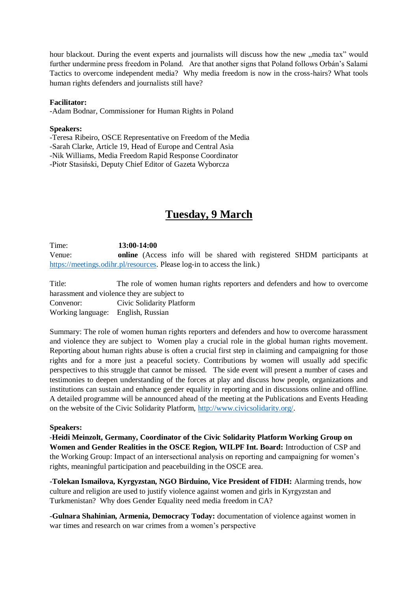hour blackout. During the event experts and journalists will discuss how the new "media tax" would further undermine press freedom in Poland. Are that another signs that Poland follows Orbán's Salami Tactics to overcome independent media? Why media freedom is now in the cross-hairs? What tools human rights defenders and journalists still have?

#### **Facilitator:**

-Adam Bodnar, Commissioner for Human Rights in Poland

#### **Speakers:**

-Teresa Ribeiro, OSCE Representative on Freedom of the Media -Sarah Clarke, Article 19, Head of Europe and Central Asia -Nik Williams, Media Freedom Rapid Response Coordinator -Piotr Stasiński, Deputy Chief Editor of Gazeta Wyborcza

### **Tuesday, 9 March**

Time: **13:00-14:00** Venue: **online** (Access info will be shared with registered SHDM participants at [https://meetings.odihr.pl/resources.](https://meetings.odihr.pl/resources) Please log-in to access the link.)

Title: The role of women human rights reporters and defenders and how to overcome harassment and violence they are subject to Convenor: Civic Solidarity Platform Working language: English, Russian

Summary: The role of women human rights reporters and defenders and how to overcome harassment and violence they are subject to Women play a crucial role in the global human rights movement. Reporting about human rights abuse is often a crucial first step in claiming and campaigning for those rights and for a more just a peaceful society. Contributions by women will usually add specific perspectives to this struggle that cannot be missed. The side event will present a number of cases and testimonies to deepen understanding of the forces at play and discuss how people, organizations and institutions can sustain and enhance gender equality in reporting and in discussions online and offline. A detailed programme will be announced ahead of the meeting at the Publications and Events Heading on the website of the Civic Solidarity Platform, [http://www.civicsolidarity.org/.](http://www.civicsolidarity.org/)

#### **Speakers:**

**-Heidi Meinzolt, Germany, Coordinator of the Civic Solidarity Platform Working Group on Women and Gender Realities in the OSCE Region, WILPF Int. Board:** Introduction of CSP and the Working Group: Impact of an intersectional analysis on reporting and campaigning for women's rights, meaningful participation and peacebuilding in the OSCE area.

**-Tolekan Ismailova, Kyrgyzstan, NGO Birduino, Vice President of FIDH:** Alarming trends, how culture and religion are used to justify violence against women and girls in Kyrgyzstan and Turkmenistan? Why does Gender Equality need media freedom in CA?

**-Gulnara Shahinian, Armenia, Democracy Today:** documentation of violence against women in war times and research on war crimes from a women's perspective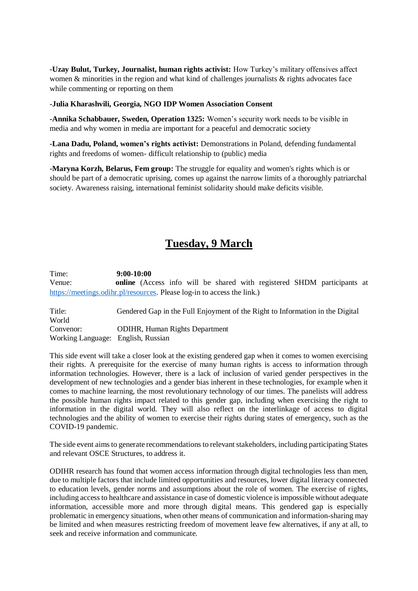**-Uzay Bulut, Turkey, Journalist, human rights activist:** How Turkey's military offensives affect women  $\&$  minorities in the region and what kind of challenges journalists  $\&$  rights advocates face while commenting or reporting on them

#### **-Julia Kharashvili, Georgia, NGO IDP Women Association Consent**

**-Annika Schabbauer, Sweden, Operation 1325:** Women's security work needs to be visible in media and why women in media are important for a peaceful and democratic society

**-Lana Dadu, Poland, women's rights activist:** Demonstrations in Poland, defending fundamental rights and freedoms of women- difficult relationship to (public) media

**-Maryna Korzh, Belarus, Fem group:** The struggle for equality and women's rights which is or should be part of a democratic uprising, comes up against the narrow limits of a thoroughly patriarchal society. Awareness raising, international feminist solidarity should make deficits visible.

## **Tuesday, 9 March**

Time: **9:00-10:00** Venue: **online** (Access info will be shared with registered SHDM participants at [https://meetings.odihr.pl/resources.](https://meetings.odihr.pl/resources) Please log-in to access the link.)

Title: Gendered Gap in the Full Enjoyment of the Right to Information in the Digital World Convenor: ODIHR, Human Rights Department Working Language: English, Russian

This side event will take a closer look at the existing gendered gap when it comes to women exercising their rights. A prerequisite for the exercise of many human rights is access to information through information technologies. However, there is a lack of inclusion of varied gender perspectives in the development of new technologies and a gender bias inherent in these technologies, for example when it comes to machine learning, the most revolutionary technology of our times. The panelists will address the possible human rights impact related to this gender gap, including when exercising the right to information in the digital world. They will also reflect on the interlinkage of access to digital technologies and the ability of women to exercise their rights during states of emergency, such as the COVID-19 pandemic.

The side event aims to generate recommendations to relevant stakeholders, including participating States and relevant OSCE Structures, to address it.

ODIHR research has found that women access information through digital technologies less than men, due to multiple factors that include limited opportunities and resources, lower digital literacy connected to education levels, gender norms and assumptions about the role of women. The exercise of rights, including access to healthcare and assistance in case of domestic violence is impossible without adequate information, accessible more and more through digital means. This gendered gap is especially problematic in emergency situations, when other means of communication and information-sharing may be limited and when measures restricting freedom of movement leave few alternatives, if any at all, to seek and receive information and communicate.